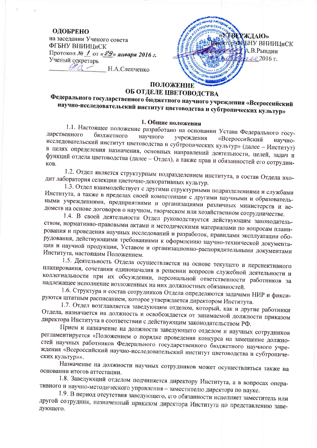#### ОДОБРЕНО

на заселании Ученого совета ФГБНУ ВНИИЦиСК Протокол № 1 от «29» января 2016 г. Ученый секретарь  $\alpha$   $\sim$ Н.А.Слепченко

**ТВЕРЖДАЮ» RTOD-CAPEHY BHUULUEK А.В.Рындин**  $2.22016r$ · OF PH 10223 ПОЛОЖЕНИЕ

## ОБ ОТДЕЛЕ ЦВЕТОВОДСТВА

Федерального государственного бюджетного научного учреждения «Всероссийский научно-исследовательский институт цветоводства и субтропических культур»

#### 1. Общие положения

1.1. Настоящее положение разработано на основании Устава Федерального государственного бюджетного научного учреждения «Всероссийский исследовательский институт цветоводства и субтропических культур» (далее - Институт) в целях определения назначения, основных направлений деятельности, целей, задач и функций отдела цветоводства (далее - Отдел), а также прав и обязанностей его сотрудни-

1.2. Отдел является структурным подразделением института, в состав Отдела входит лаборатория селекции цветочно-декоративных культур.

1.3. Отдел взаимодействует с другими структурными подразделениями и службами Института, а также в пределах своей компетенции с другими научными и образовательными учреждениями, предприятиями и организациями различных министерств и ведомств на основе договоров о научном, творческом или хозяйственном сотрудничестве.

1.4. В своей деятельности Отдел руководствуется действующим законодательством, нормативно-правовыми актами и методическими материалами по вопросам планирования и проведения научных исследований и разработок, правилами эксплуатации оборудования, действующими требованиями к оформлению научно-технической документации и научной продукции, Уставом и организационно-распорядительными документами Института, настоящим Положением.

1.5. Деятельность Отдела осуществляется на основе текущего и перспективного планирования, сочетания единоначалия в решении вопросов служебной деятельности и коллегиальности при их обсуждении, персональной ответственности работников за надлежащее исполнение возложенных на них должностных обязанностей.

1.6. Структура и состав сотрудников Отдела определяются задачами НИР и фиксируются штатным расписанием, которое утверждается директором Института.

1.7. Отдел возглавляется заведующим отделом, который, как и другие работники Отдела, назначается на должность и освобождается от занимаемой должности приказом директора Института в соответствии с действующим законодательством РФ.

Прием и назначение на должности заведующего отделом и научных сотрудников регламентируется «Положением о порядке проведения конкурса на замещение должностей научных работников Федерального государственного бюджетного научного учреждения «Всероссийский научно-исследовательский институт цветоводства и субтропических культур»».

Назначение на должности научных сотрудников может осуществляться также на основании итогов аттестации.

1.8. Заведующий отделом подчиняется директору Института, а в вопросах оперативного и научно-методического управления - заместителю директора по науке.

1.9. В период отсутствия заведующего, его обязанности исполняет заместитель или другой сотрудник, назначенный приказом директора Института по представлению заведующего.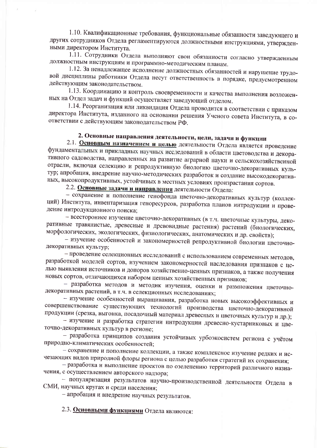1.10. Квалификационные требования, функциональные обязанности заведующего и других сотрудников Отдела регламентируются должностными инструкциями, утвержденными директором Института.

1.11. Сотрудники Отдела выполняют свои обязанности согласно утвержденным должностным инструкциям и программно-методическим планам.

1.12. За ненадлежащее исполнение должностных обязанностей и нарушение трудовой дисциплины работники Отдела несут ответственность в порядке, предусмотренном действующим законодательством.

1.13. Координацию и контроль своевременности и качества выполнения возложенных на Отдел задач и функций осуществляет заведующий отделом.

1.14. Реорганизация или ликвидация Отдела проводится в соответствии с приказом директора Института, изданного на основании решения Ученого совета Института, в соответствии с действующим законодательством РФ.

## 2. Основные направления деятельности, цели, задачи и функции

2.1. Основным назначением и целью деятельности Отдела является проведение фундаментальных и прикладных научных исследований в области цветоводства и декоративного садоводства, направленных на развитие аграрной науки и сельскохозяйственной отрасли, включая селекцию и репродуктивную биологию цветочно-декоративных культур; апробация, внедрение научно-методических разработок и создание высокодекоративных, высокопродуктивных, устойчивых в местных условиях произрастания сортов.

2.2. Основные задачи и направления деятельности Отдела:

- сохранение и пополнение генофонда цветочно-декоративных культур (коллекций) Института, инвентаризация геноресурсов, разработка планов интродукции и проведение интродукционного поиска;

- всестороннее изучение цветочно-декоративных (в т.ч. цветочные культуры, декоративные травянистые, древесные и древовидные растения) растений (биологических, морфологических, экологических, физиологических, анатомических и др. свойств);

- изучение особенностей и закономерностей репродуктивной биологии цветочнодекоративных культур;

- проведение селекционных исследований с использованием современных методов, разработкой моделей сортов, изучением закономерностей наследования признаков с целью выявления источников и доноров хозяйственно-ценных признаков, а также получения новых сортов, отличающихся набором ценных хозяйственных признаков;

- разработка методов и методик изучения, оценки и размножения цветочнодекоративных растений, в т.ч. в селекционных исследованиях;

- изучение особенностей выращивания, разработка новых высокоэффективных и совершенствование существующих технологий производства цветочно-декоративной продукции (срезка, выгонка, посадочный материал древесных и цветочных культур и др.);

- изучение и разработка стратегии интродукции древесно-кустарниковых и цветочно-декоративных культур в регионе;

- разработка принципов создания устойчивых урбоэкосистем региона с учётом природно-климатических особенностей;

- сохранение и пополнение коллекции, а также комплексное изучение редких и исчезающих видов природной флоры региона с целью разработки стратегий их сохранения;

- разработка и выполнение проектов по озеленению территорий различного назначения, с осуществлением авторского надзора;

- популяризация результатов научно-производственной деятельности Отдела в СМИ, научных кругах и среди населения;

- апробация и внедрение научных результатов.

2.3. Основными функциями Отдела являются: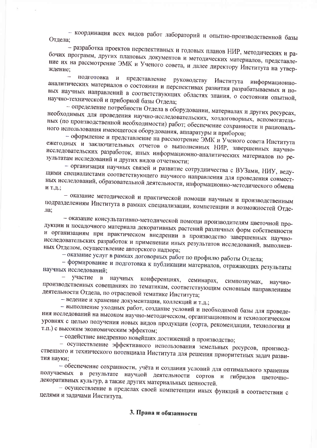- координация всех видов работ лабораторий и опытно-производственной базы Отдела:

- разработка проектов перспективных и годовых планов НИР, методических и рабочих программ, других плановых документов и методических материалов, представление их на рассмотрение ЭМК и Ученого совета, и далее директору Института на утвер-

подготовка и представление руководству Института аналитических материалов о состоянии и перспективах развития разрабатываемых и ноинформационновых научных направлений в соответствующих областях знания, о состоянии опытной, научно-технической и приборной базы Отдела;

- определение потребности Отдела в оборудовании, материалах и других ресурсах, необходимых для проведения научно-исследовательских, хоздоговорных, вспомогательных (по производственной необходимости) работ; обеспечение сохранности и рационального использования имеющегося оборудования, аппаратуры и приборов;

- оформление и представление на рассмотрение ЭМК и Ученого совета Института ежегодных и заключительных отчетов о выполненных НИР, завершенных научноисследовательских разработок, иных информационно-аналитических материалов по результатам исследований и других видов отчетности;

- организация научных связей и развитие сотрудничества с ВУЗами, НИУ, ведущими специалистами соответствующего научного направления для проведения совместных исследований, образовательной деятельности, информационно-методического обмена и т.д.;

- оказание методической и практической помощи научным и производственным подразделениям Института в рамках специализации, компетенции и возможностей Отде-

- оказание консультативно-методической помощи производителям цветочной продукции и посадочного материала декоративных растений различных форм собственности и организациям при практическом внедрении в производство завершенных научноисследовательских разработок и применении иных результатов исследований, выполненных Отделом, осуществление авторского надзора;

- оказание услуг в рамках договорных работ по профилю работы Отдела;

- формирование и подготовка к публикации материалов, отражающих результаты научных исследований;

участие научных  $\, {\bf B}$ конференциях, семинарах, симпозиумах, научнопроизводственных совещаниях по тематикам, соответствующим основным направлениям деятельности Отдела, по отраслевой тематике Института;

- ведение и хранение документации, коллекций и т.д.;

- выполнение уходных работ, создание условий и необходимой базы для проведения исследований на высоком научно-методическом, организационном и технологическом уровнях с целью получения новых видов продукции (сорта, рекомендации, технологии и т.п.) с высоким экономическим эффектом;

- содействие внедрению новейших достижений в производство;

- осуществление эффективного использования земельных ресурсов, производственного и технического потенциала Института для решения приоритетных задач развития науки;

- обеспечение сохранности, учёта и создания условий для оптимального хранения получаемых в результате научной деятельности сортов и гибридов цветочнодекоративных культур, а также других материальных ценностей.

- осуществление в пределах своей компетенции иных функций в соответствии с целями и задачами Института.

#### 3. Права и обязанности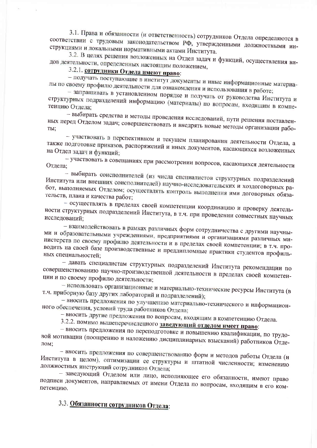3.1. Права и обязанности (и ответственность) сотрудников Отдела определяются в соответствии с трудовым законодательством РФ, утвержденными должностными инструкциями и локальными нормативными актами Института.

3.2. В целях решения возложенных на Отдел задач и функций, осуществления видов деятельности, определенных настоящим положением,

## 3.2.1. сотрудники Отдела имеют право:

- получать поступающие в институт документы и иные информационные материалы по своему профилю деятельности для ознакомления и использования в работе;

- запрашивать в установленном порядке и получать от руководства Института и структурных подразделений информацию (материалы) по вопросам, входящим в компе-

- выбирать средства и методы проведения исследований, пути решения поставленных перед Отделом задач; совершенствовать и внедрять новые методы организации рабо-TЫ:

- участвовать в перспективном и текущем планировании деятельности Отдела, а также подготовке приказов, распоряжений и иных документов, касающихся возложенных на Отдел задач и функций;

- участвовать в совещаниях при рассмотрении вопросов, касающихся деятельности Отдела;

- выбирать соисполнителей (из числа специалистов структурных подразделений Института или внешних соисполнителей) научно-исследовательских и хоздоговорных работ, выполняемых Отделом; осуществлять контроль выполнения ими договорных обязательств, плана и качества работ;

- осуществлять в пределах своей компетенции координацию и проверку деятельности структурных подразделений Института, в т.ч. при проведении совместных научных

- взаимодействовать в рамках различных форм сотрудничества с другими научными и образовательными учреждениями, предприятиями и организациями различных министерств по своему профилю деятельности и в пределах своей компетенции; в т.ч. проводить на своей базе производственные и преддипломные практики студентов профильных специальностей;

- давать специалистам структурных подразделений Института рекомендации по совершенствованию научно-производственной деятельности в пределах своей компетенции и по своему профилю деятельности;

- использовать организационные и материально-технические ресурсы Института (в т.ч. приборную базу других лабораторий и подразделений);

- вносить предложения по улучшению материально-технического и информационного обеспечения, условий труда работников Отдела;

- вносить другие предложения по вопросам, входящим в компетенцию Отдела.

3.2.2. помимо вышеперечисленного заведующий отделом имеет право:

- вносить предложения по переподготовке и повышению квалификации, по трудовой мотивации (поощрению и наложению дисциплинарных взысканий) работников Отделом:

- вносить предложения по совершенствованию форм и методов работы Отдела (и Института в целом), оптимизации ее структуры и штатной численности; изменению должностных инструкций сотрудников Отдела;

- заведующий Отделом или лицо, исполняющее его обязанности, имеют право подписи документов, направляемых от имени Отдела по вопросам, входящим в его компетенцию.

3.3. Обязанности сотрудников Отдела: